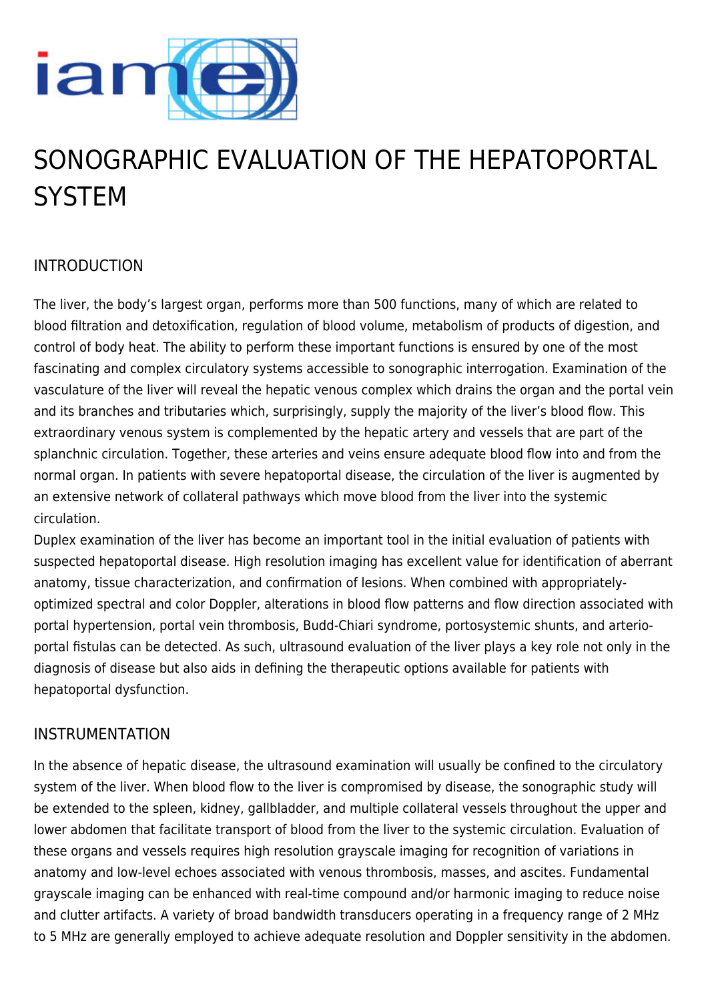

# SONOGRAPHIC EVALUATION OF THE HEPATOPORTAL **SYSTEM**

## INTRODUCTION

The liver, the body's largest organ, performs more than 500 functions, many of which are related to blood filtration and detoxification, regulation of blood volume, metabolism of products of digestion, and control of body heat. The ability to perform these important functions is ensured by one of the most fascinating and complex circulatory systems accessible to sonographic interrogation. Examination of the vasculature of the liver will reveal the hepatic venous complex which drains the organ and the portal vein and its branches and tributaries which, surprisingly, supply the majority of the liver's blood flow. This extraordinary venous system is complemented by the hepatic artery and vessels that are part of the splanchnic circulation. Together, these arteries and veins ensure adequate blood flow into and from the normal organ. In patients with severe hepatoportal disease, the circulation of the liver is augmented by an extensive network of collateral pathways which move blood from the liver into the systemic circulation.

Duplex examination of the liver has become an important tool in the initial evaluation of patients with suspected hepatoportal disease. High resolution imaging has excellent value for identification of aberrant anatomy, tissue characterization, and confirmation of lesions. When combined with appropriatelyoptimized spectral and color Doppler, alterations in blood flow patterns and flow direction associated with portal hypertension, portal vein thrombosis, Budd-Chiari syndrome, portosystemic shunts, and arterioportal fistulas can be detected. As such, ultrasound evaluation of the liver plays a key role not only in the diagnosis of disease but also aids in defining the therapeutic options available for patients with hepatoportal dysfunction.

#### INSTRUMENTATION

In the absence of hepatic disease, the ultrasound examination will usually be confined to the circulatory system of the liver. When blood flow to the liver is compromised by disease, the sonographic study will be extended to the spleen, kidney, gallbladder, and multiple collateral vessels throughout the upper and lower abdomen that facilitate transport of blood from the liver to the systemic circulation. Evaluation of these organs and vessels requires high resolution grayscale imaging for recognition of variations in anatomy and low-level echoes associated with venous thrombosis, masses, and ascites. Fundamental grayscale imaging can be enhanced with real-time compound and/or harmonic imaging to reduce noise and clutter artifacts. A variety of broad bandwidth transducers operating in a frequency range of 2 MHz to 5 MHz are generally employed to achieve adequate resolution and Doppler sensitivity in the abdomen.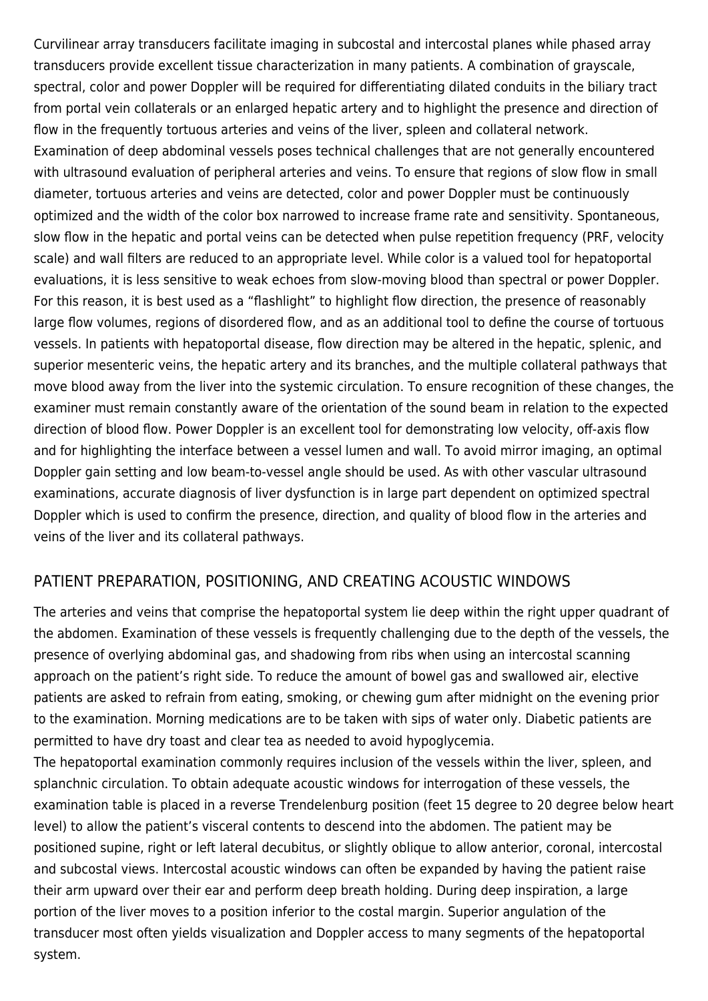Curvilinear array transducers facilitate imaging in subcostal and intercostal planes while phased array transducers provide excellent tissue characterization in many patients. A combination of grayscale, spectral, color and power Doppler will be required for differentiating dilated conduits in the biliary tract from portal vein collaterals or an enlarged hepatic artery and to highlight the presence and direction of flow in the frequently tortuous arteries and veins of the liver, spleen and collateral network. Examination of deep abdominal vessels poses technical challenges that are not generally encountered with ultrasound evaluation of peripheral arteries and veins. To ensure that regions of slow flow in small diameter, tortuous arteries and veins are detected, color and power Doppler must be continuously optimized and the width of the color box narrowed to increase frame rate and sensitivity. Spontaneous, slow flow in the hepatic and portal veins can be detected when pulse repetition frequency (PRF, velocity scale) and wall filters are reduced to an appropriate level. While color is a valued tool for hepatoportal evaluations, it is less sensitive to weak echoes from slow-moving blood than spectral or power Doppler. For this reason, it is best used as a "flashlight" to highlight flow direction, the presence of reasonably large flow volumes, regions of disordered flow, and as an additional tool to define the course of tortuous vessels. In patients with hepatoportal disease, flow direction may be altered in the hepatic, splenic, and superior mesenteric veins, the hepatic artery and its branches, and the multiple collateral pathways that move blood away from the liver into the systemic circulation. To ensure recognition of these changes, the examiner must remain constantly aware of the orientation of the sound beam in relation to the expected direction of blood flow. Power Doppler is an excellent tool for demonstrating low velocity, off-axis flow and for highlighting the interface between a vessel lumen and wall. To avoid mirror imaging, an optimal Doppler gain setting and low beam-to-vessel angle should be used. As with other vascular ultrasound examinations, accurate diagnosis of liver dysfunction is in large part dependent on optimized spectral Doppler which is used to confirm the presence, direction, and quality of blood flow in the arteries and veins of the liver and its collateral pathways.

## PATIENT PREPARATION, POSITIONING, AND CREATING ACOUSTIC WINDOWS

The arteries and veins that comprise the hepatoportal system lie deep within the right upper quadrant of the abdomen. Examination of these vessels is frequently challenging due to the depth of the vessels, the presence of overlying abdominal gas, and shadowing from ribs when using an intercostal scanning approach on the patient's right side. To reduce the amount of bowel gas and swallowed air, elective patients are asked to refrain from eating, smoking, or chewing gum after midnight on the evening prior to the examination. Morning medications are to be taken with sips of water only. Diabetic patients are permitted to have dry toast and clear tea as needed to avoid hypoglycemia.

The hepatoportal examination commonly requires inclusion of the vessels within the liver, spleen, and splanchnic circulation. To obtain adequate acoustic windows for interrogation of these vessels, the examination table is placed in a reverse Trendelenburg position (feet 15 degree to 20 degree below heart level) to allow the patient's visceral contents to descend into the abdomen. The patient may be positioned supine, right or left lateral decubitus, or slightly oblique to allow anterior, coronal, intercostal and subcostal views. Intercostal acoustic windows can often be expanded by having the patient raise their arm upward over their ear and perform deep breath holding. During deep inspiration, a large portion of the liver moves to a position inferior to the costal margin. Superior angulation of the transducer most often yields visualization and Doppler access to many segments of the hepatoportal system.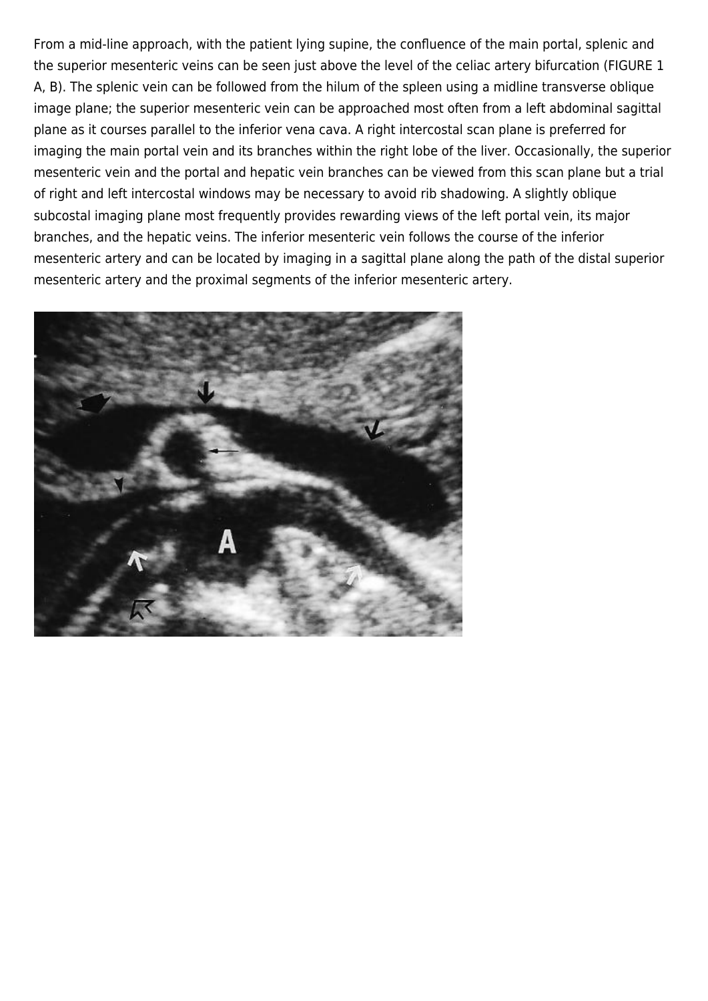From a mid-line approach, with the patient lying supine, the confluence of the main portal, splenic and the superior mesenteric veins can be seen just above the level of the celiac artery bifurcation (FIGURE 1 A, B). The splenic vein can be followed from the hilum of the spleen using a midline transverse oblique image plane; the superior mesenteric vein can be approached most often from a left abdominal sagittal plane as it courses parallel to the inferior vena cava. A right intercostal scan plane is preferred for imaging the main portal vein and its branches within the right lobe of the liver. Occasionally, the superior mesenteric vein and the portal and hepatic vein branches can be viewed from this scan plane but a trial of right and left intercostal windows may be necessary to avoid rib shadowing. A slightly oblique subcostal imaging plane most frequently provides rewarding views of the left portal vein, its major branches, and the hepatic veins. The inferior mesenteric vein follows the course of the inferior mesenteric artery and can be located by imaging in a sagittal plane along the path of the distal superior mesenteric artery and the proximal segments of the inferior mesenteric artery.

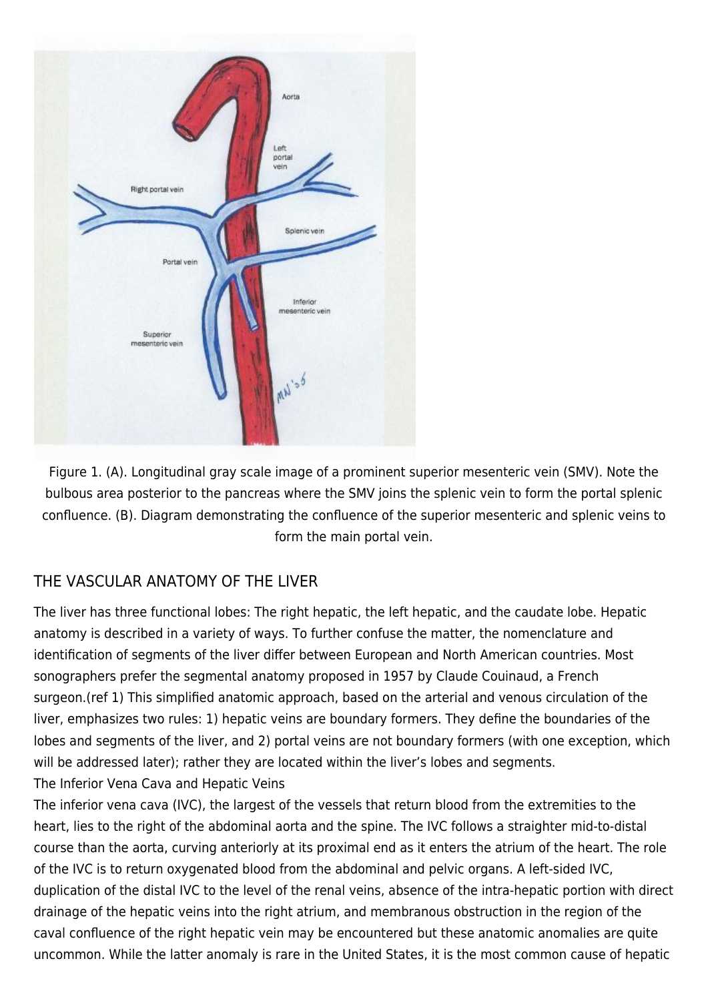

Figure 1. (A). Longitudinal gray scale image of a prominent superior mesenteric vein (SMV). Note the bulbous area posterior to the pancreas where the SMV joins the splenic vein to form the portal splenic confluence. (B). Diagram demonstrating the confluence of the superior mesenteric and splenic veins to form the main portal vein.

## THE VASCULAR ANATOMY OF THE LIVER

The liver has three functional lobes: The right hepatic, the left hepatic, and the caudate lobe. Hepatic anatomy is described in a variety of ways. To further confuse the matter, the nomenclature and identification of segments of the liver differ between European and North American countries. Most sonographers prefer the segmental anatomy proposed in 1957 by Claude Couinaud, a French surgeon.(ref 1) This simplified anatomic approach, based on the arterial and venous circulation of the liver, emphasizes two rules: 1) hepatic veins are boundary formers. They define the boundaries of the lobes and segments of the liver, and 2) portal veins are not boundary formers (with one exception, which will be addressed later); rather they are located within the liver's lobes and segments. The Inferior Vena Cava and Hepatic Veins

The inferior vena cava (IVC), the largest of the vessels that return blood from the extremities to the heart, lies to the right of the abdominal aorta and the spine. The IVC follows a straighter mid-to-distal course than the aorta, curving anteriorly at its proximal end as it enters the atrium of the heart. The role of the IVC is to return oxygenated blood from the abdominal and pelvic organs. A left-sided IVC, duplication of the distal IVC to the level of the renal veins, absence of the intra-hepatic portion with direct drainage of the hepatic veins into the right atrium, and membranous obstruction in the region of the caval confluence of the right hepatic vein may be encountered but these anatomic anomalies are quite uncommon. While the latter anomaly is rare in the United States, it is the most common cause of hepatic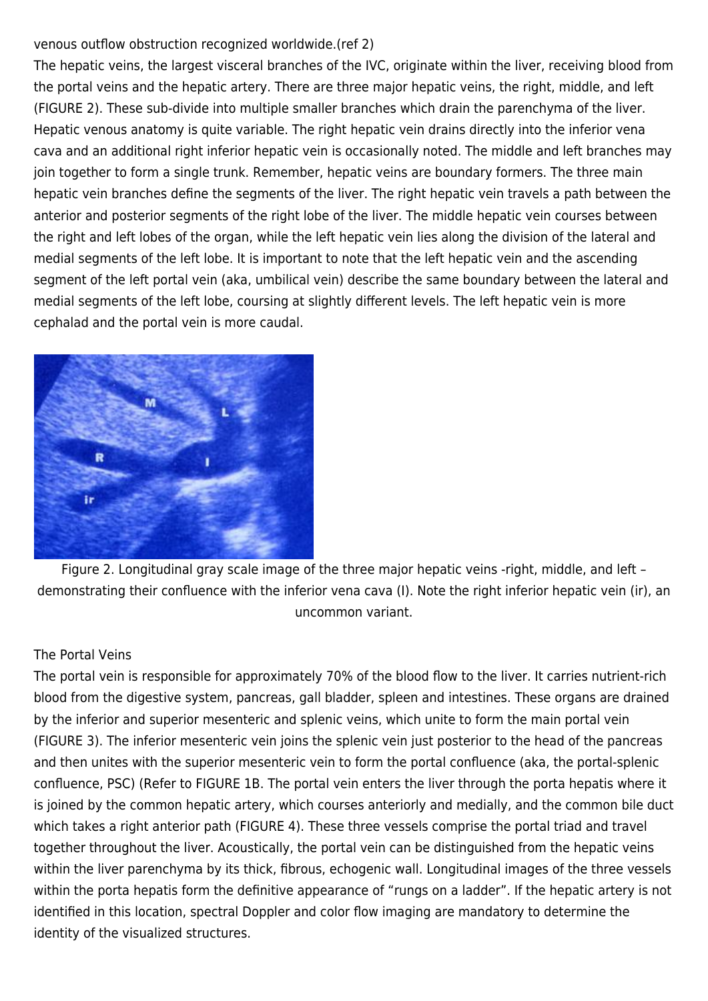#### venous outflow obstruction recognized worldwide.(ref 2)

The hepatic veins, the largest visceral branches of the IVC, originate within the liver, receiving blood from the portal veins and the hepatic artery. There are three major hepatic veins, the right, middle, and left (FIGURE 2). These sub-divide into multiple smaller branches which drain the parenchyma of the liver. Hepatic venous anatomy is quite variable. The right hepatic vein drains directly into the inferior vena cava and an additional right inferior hepatic vein is occasionally noted. The middle and left branches may join together to form a single trunk. Remember, hepatic veins are boundary formers. The three main hepatic vein branches define the segments of the liver. The right hepatic vein travels a path between the anterior and posterior segments of the right lobe of the liver. The middle hepatic vein courses between the right and left lobes of the organ, while the left hepatic vein lies along the division of the lateral and medial segments of the left lobe. It is important to note that the left hepatic vein and the ascending segment of the left portal vein (aka, umbilical vein) describe the same boundary between the lateral and medial segments of the left lobe, coursing at slightly different levels. The left hepatic vein is more cephalad and the portal vein is more caudal.



Figure 2. Longitudinal gray scale image of the three major hepatic veins -right, middle, and left – demonstrating their confluence with the inferior vena cava (I). Note the right inferior hepatic vein (ir), an uncommon variant.

#### The Portal Veins

The portal vein is responsible for approximately 70% of the blood flow to the liver. It carries nutrient-rich blood from the digestive system, pancreas, gall bladder, spleen and intestines. These organs are drained by the inferior and superior mesenteric and splenic veins, which unite to form the main portal vein (FIGURE 3). The inferior mesenteric vein joins the splenic vein just posterior to the head of the pancreas and then unites with the superior mesenteric vein to form the portal confluence (aka, the portal-splenic confluence, PSC) (Refer to FIGURE 1B. The portal vein enters the liver through the porta hepatis where it is joined by the common hepatic artery, which courses anteriorly and medially, and the common bile duct which takes a right anterior path (FIGURE 4). These three vessels comprise the portal triad and travel together throughout the liver. Acoustically, the portal vein can be distinguished from the hepatic veins within the liver parenchyma by its thick, fibrous, echogenic wall. Longitudinal images of the three vessels within the porta hepatis form the definitive appearance of "rungs on a ladder". If the hepatic artery is not identified in this location, spectral Doppler and color flow imaging are mandatory to determine the identity of the visualized structures.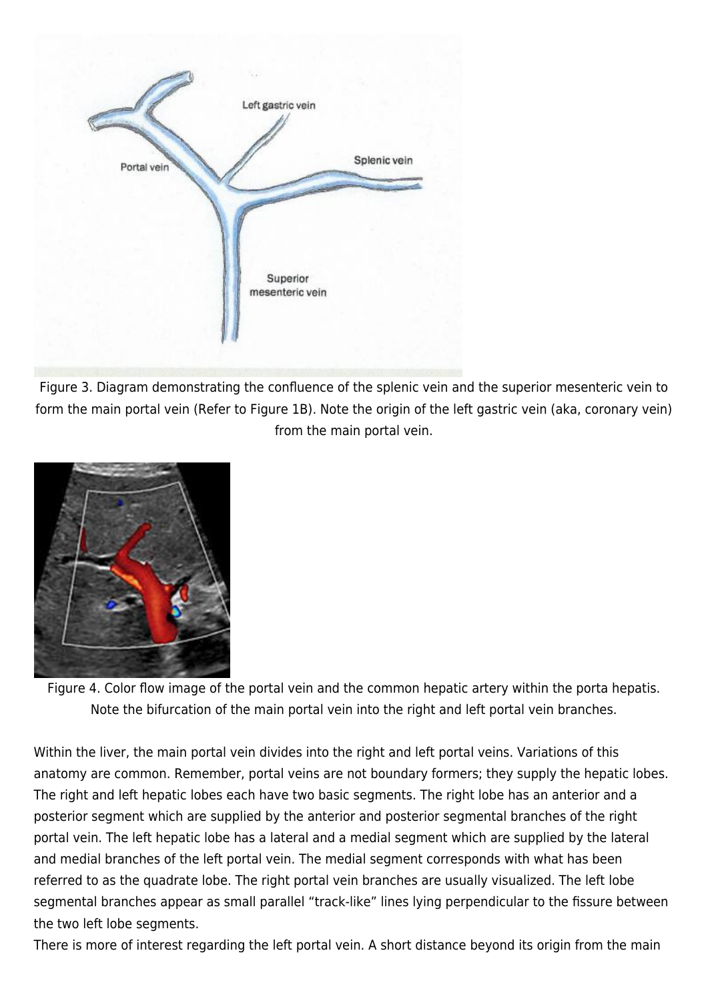

Figure 3. Diagram demonstrating the confluence of the splenic vein and the superior mesenteric vein to form the main portal vein (Refer to Figure 1B). Note the origin of the left gastric vein (aka, coronary vein) from the main portal vein.



Figure 4. Color flow image of the portal vein and the common hepatic artery within the porta hepatis. Note the bifurcation of the main portal vein into the right and left portal vein branches.

Within the liver, the main portal vein divides into the right and left portal veins. Variations of this anatomy are common. Remember, portal veins are not boundary formers; they supply the hepatic lobes. The right and left hepatic lobes each have two basic segments. The right lobe has an anterior and a posterior segment which are supplied by the anterior and posterior segmental branches of the right portal vein. The left hepatic lobe has a lateral and a medial segment which are supplied by the lateral and medial branches of the left portal vein. The medial segment corresponds with what has been referred to as the quadrate lobe. The right portal vein branches are usually visualized. The left lobe segmental branches appear as small parallel "track-like" lines lying perpendicular to the fissure between the two left lobe segments.

There is more of interest regarding the left portal vein. A short distance beyond its origin from the main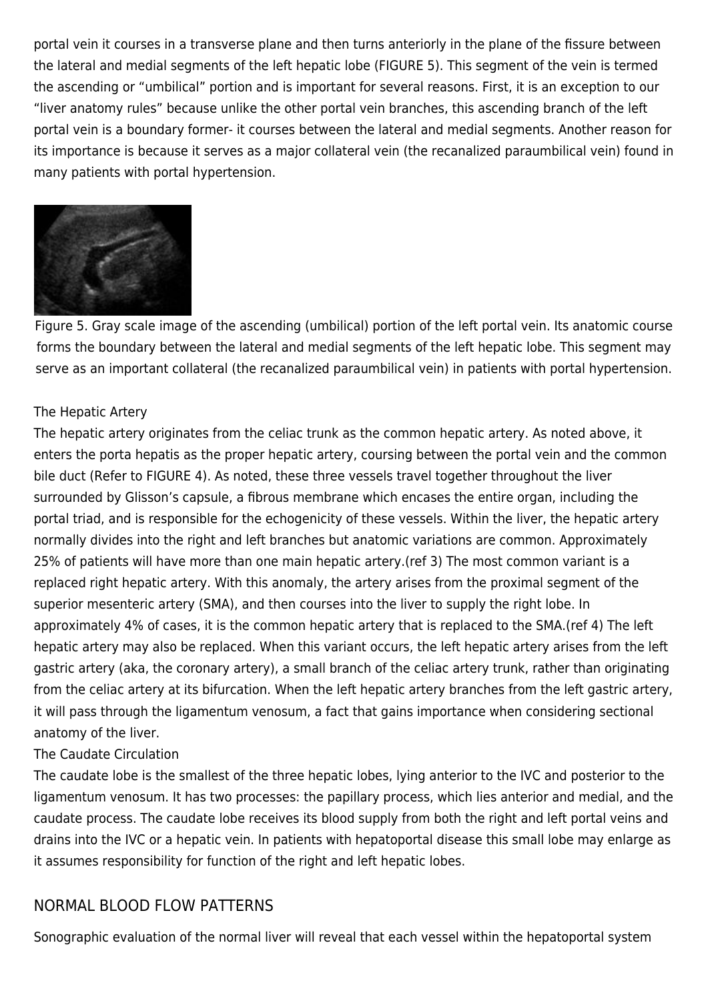portal vein it courses in a transverse plane and then turns anteriorly in the plane of the fissure between the lateral and medial segments of the left hepatic lobe (FIGURE 5). This segment of the vein is termed the ascending or "umbilical" portion and is important for several reasons. First, it is an exception to our "liver anatomy rules" because unlike the other portal vein branches, this ascending branch of the left portal vein is a boundary former- it courses between the lateral and medial segments. Another reason for its importance is because it serves as a major collateral vein (the recanalized paraumbilical vein) found in many patients with portal hypertension.



Figure 5. Gray scale image of the ascending (umbilical) portion of the left portal vein. Its anatomic course forms the boundary between the lateral and medial segments of the left hepatic lobe. This segment may serve as an important collateral (the recanalized paraumbilical vein) in patients with portal hypertension.

#### The Hepatic Artery

The hepatic artery originates from the celiac trunk as the common hepatic artery. As noted above, it enters the porta hepatis as the proper hepatic artery, coursing between the portal vein and the common bile duct (Refer to FIGURE 4). As noted, these three vessels travel together throughout the liver surrounded by Glisson's capsule, a fibrous membrane which encases the entire organ, including the portal triad, and is responsible for the echogenicity of these vessels. Within the liver, the hepatic artery normally divides into the right and left branches but anatomic variations are common. Approximately 25% of patients will have more than one main hepatic artery.(ref 3) The most common variant is a replaced right hepatic artery. With this anomaly, the artery arises from the proximal segment of the superior mesenteric artery (SMA), and then courses into the liver to supply the right lobe. In approximately 4% of cases, it is the common hepatic artery that is replaced to the SMA.(ref 4) The left hepatic artery may also be replaced. When this variant occurs, the left hepatic artery arises from the left gastric artery (aka, the coronary artery), a small branch of the celiac artery trunk, rather than originating from the celiac artery at its bifurcation. When the left hepatic artery branches from the left gastric artery, it will pass through the ligamentum venosum, a fact that gains importance when considering sectional anatomy of the liver.

#### The Caudate Circulation

The caudate lobe is the smallest of the three hepatic lobes, lying anterior to the IVC and posterior to the ligamentum venosum. It has two processes: the papillary process, which lies anterior and medial, and the caudate process. The caudate lobe receives its blood supply from both the right and left portal veins and drains into the IVC or a hepatic vein. In patients with hepatoportal disease this small lobe may enlarge as it assumes responsibility for function of the right and left hepatic lobes.

#### NORMAL BLOOD FLOW PATTERNS

Sonographic evaluation of the normal liver will reveal that each vessel within the hepatoportal system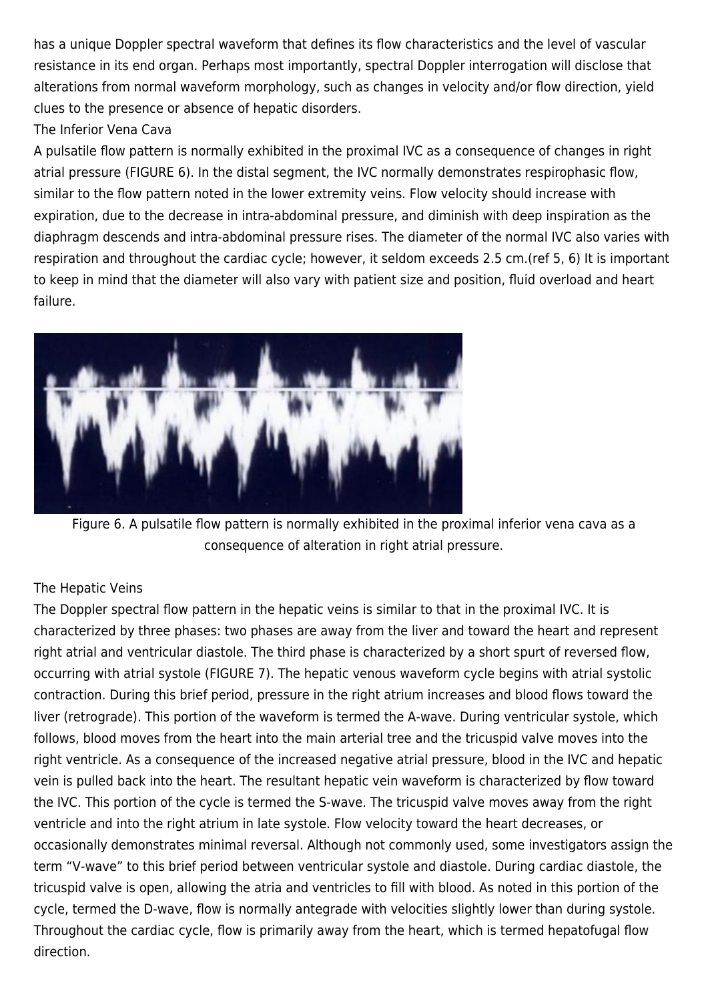has a unique Doppler spectral waveform that defines its flow characteristics and the level of vascular resistance in its end organ. Perhaps most importantly, spectral Doppler interrogation will disclose that alterations from normal waveform morphology, such as changes in velocity and/or flow direction, yield clues to the presence or absence of hepatic disorders.

#### The Inferior Vena Cava

A pulsatile flow pattern is normally exhibited in the proximal IVC as a consequence of changes in right atrial pressure (FIGURE 6). In the distal segment, the IVC normally demonstrates respirophasic flow, similar to the flow pattern noted in the lower extremity veins. Flow velocity should increase with expiration, due to the decrease in intra-abdominal pressure, and diminish with deep inspiration as the diaphragm descends and intra-abdominal pressure rises. The diameter of the normal IVC also varies with respiration and throughout the cardiac cycle; however, it seldom exceeds 2.5 cm.(ref 5, 6) It is important to keep in mind that the diameter will also vary with patient size and position, fluid overload and heart failure.



Figure 6. A pulsatile flow pattern is normally exhibited in the proximal inferior vena cava as a consequence of alteration in right atrial pressure.

#### The Hepatic Veins

The Doppler spectral flow pattern in the hepatic veins is similar to that in the proximal IVC. It is characterized by three phases: two phases are away from the liver and toward the heart and represent right atrial and ventricular diastole. The third phase is characterized by a short spurt of reversed flow, occurring with atrial systole (FIGURE 7). The hepatic venous waveform cycle begins with atrial systolic contraction. During this brief period, pressure in the right atrium increases and blood flows toward the liver (retrograde). This portion of the waveform is termed the A-wave. During ventricular systole, which follows, blood moves from the heart into the main arterial tree and the tricuspid valve moves into the right ventricle. As a consequence of the increased negative atrial pressure, blood in the IVC and hepatic vein is pulled back into the heart. The resultant hepatic vein waveform is characterized by flow toward the IVC. This portion of the cycle is termed the S-wave. The tricuspid valve moves away from the right ventricle and into the right atrium in late systole. Flow velocity toward the heart decreases, or occasionally demonstrates minimal reversal. Although not commonly used, some investigators assign the term "V-wave" to this brief period between ventricular systole and diastole. During cardiac diastole, the tricuspid valve is open, allowing the atria and ventricles to fill with blood. As noted in this portion of the cycle, termed the D-wave, flow is normally antegrade with velocities slightly lower than during systole. Throughout the cardiac cycle, flow is primarily away from the heart, which is termed hepatofugal flow direction.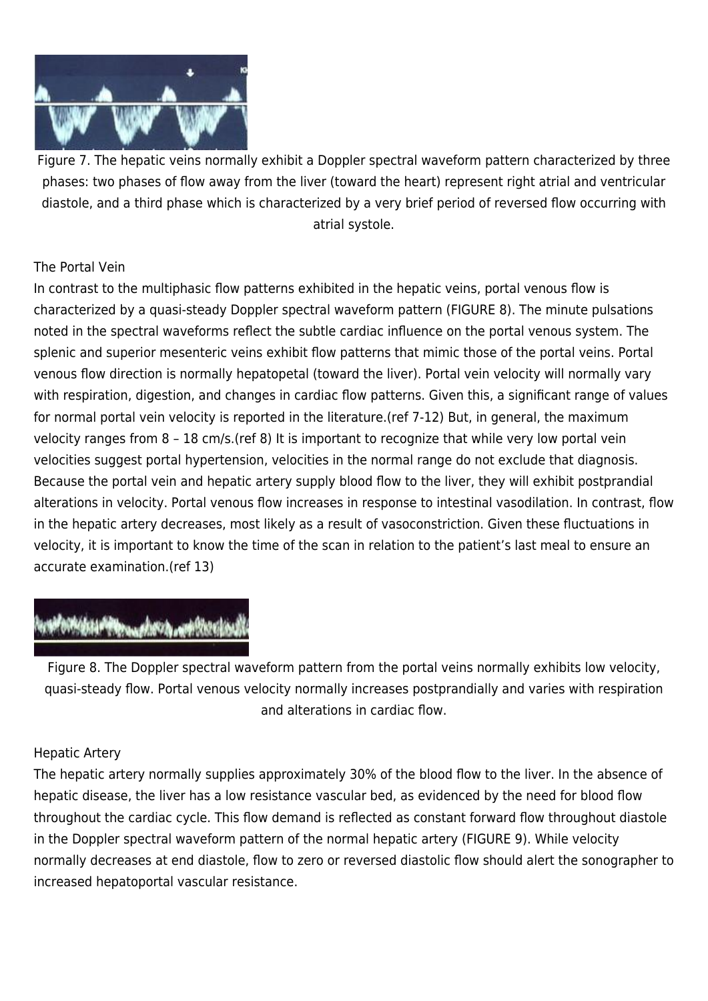

Figure 7. The hepatic veins normally exhibit a Doppler spectral waveform pattern characterized by three phases: two phases of flow away from the liver (toward the heart) represent right atrial and ventricular diastole, and a third phase which is characterized by a very brief period of reversed flow occurring with atrial systole.

#### The Portal Vein

In contrast to the multiphasic flow patterns exhibited in the hepatic veins, portal venous flow is characterized by a quasi-steady Doppler spectral waveform pattern (FIGURE 8). The minute pulsations noted in the spectral waveforms reflect the subtle cardiac influence on the portal venous system. The splenic and superior mesenteric veins exhibit flow patterns that mimic those of the portal veins. Portal venous flow direction is normally hepatopetal (toward the liver). Portal vein velocity will normally vary with respiration, digestion, and changes in cardiac flow patterns. Given this, a significant range of values for normal portal vein velocity is reported in the literature.(ref 7-12) But, in general, the maximum velocity ranges from 8 – 18 cm/s.(ref 8) It is important to recognize that while very low portal vein velocities suggest portal hypertension, velocities in the normal range do not exclude that diagnosis. Because the portal vein and hepatic artery supply blood flow to the liver, they will exhibit postprandial alterations in velocity. Portal venous flow increases in response to intestinal vasodilation. In contrast, flow in the hepatic artery decreases, most likely as a result of vasoconstriction. Given these fluctuations in velocity, it is important to know the time of the scan in relation to the patient's last meal to ensure an accurate examination.(ref 13)

## **Webster Chronicle Concept Webster**

Figure 8. The Doppler spectral waveform pattern from the portal veins normally exhibits low velocity, quasi-steady flow. Portal venous velocity normally increases postprandially and varies with respiration and alterations in cardiac flow.

#### Hepatic Artery

The hepatic artery normally supplies approximately 30% of the blood flow to the liver. In the absence of hepatic disease, the liver has a low resistance vascular bed, as evidenced by the need for blood flow throughout the cardiac cycle. This flow demand is reflected as constant forward flow throughout diastole in the Doppler spectral waveform pattern of the normal hepatic artery (FIGURE 9). While velocity normally decreases at end diastole, flow to zero or reversed diastolic flow should alert the sonographer to increased hepatoportal vascular resistance.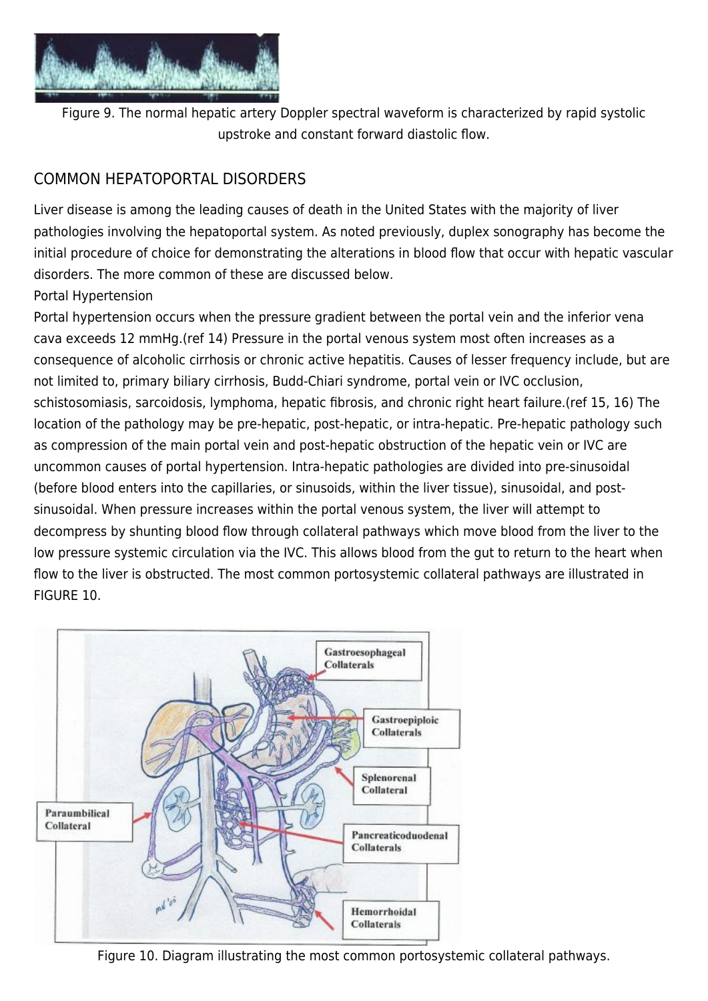

Figure 9. The normal hepatic artery Doppler spectral waveform is characterized by rapid systolic upstroke and constant forward diastolic flow.

## COMMON HEPATOPORTAL DISORDERS

Liver disease is among the leading causes of death in the United States with the majority of liver pathologies involving the hepatoportal system. As noted previously, duplex sonography has become the initial procedure of choice for demonstrating the alterations in blood flow that occur with hepatic vascular disorders. The more common of these are discussed below.

#### Portal Hypertension

Portal hypertension occurs when the pressure gradient between the portal vein and the inferior vena cava exceeds 12 mmHg.(ref 14) Pressure in the portal venous system most often increases as a consequence of alcoholic cirrhosis or chronic active hepatitis. Causes of lesser frequency include, but are not limited to, primary biliary cirrhosis, Budd-Chiari syndrome, portal vein or IVC occlusion, schistosomiasis, sarcoidosis, lymphoma, hepatic fibrosis, and chronic right heart failure.(ref 15, 16) The location of the pathology may be pre-hepatic, post-hepatic, or intra-hepatic. Pre-hepatic pathology such as compression of the main portal vein and post-hepatic obstruction of the hepatic vein or IVC are uncommon causes of portal hypertension. Intra-hepatic pathologies are divided into pre-sinusoidal (before blood enters into the capillaries, or sinusoids, within the liver tissue), sinusoidal, and postsinusoidal. When pressure increases within the portal venous system, the liver will attempt to decompress by shunting blood flow through collateral pathways which move blood from the liver to the low pressure systemic circulation via the IVC. This allows blood from the gut to return to the heart when flow to the liver is obstructed. The most common portosystemic collateral pathways are illustrated in FIGURE 10.



Figure 10. Diagram illustrating the most common portosystemic collateral pathways.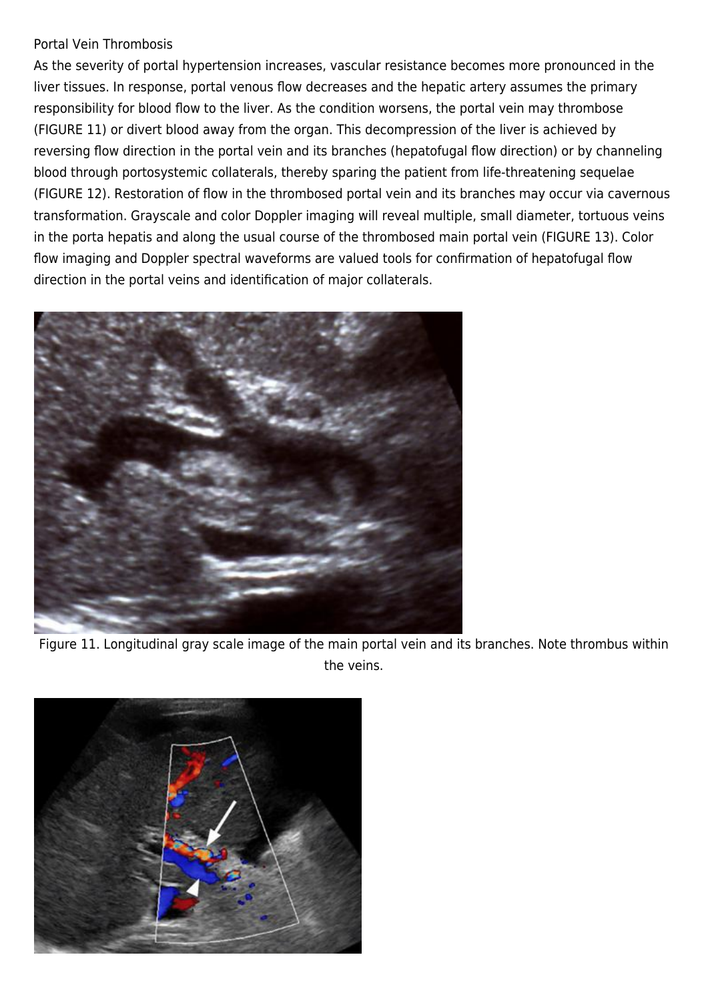#### Portal Vein Thrombosis

As the severity of portal hypertension increases, vascular resistance becomes more pronounced in the liver tissues. In response, portal venous flow decreases and the hepatic artery assumes the primary responsibility for blood flow to the liver. As the condition worsens, the portal vein may thrombose (FIGURE 11) or divert blood away from the organ. This decompression of the liver is achieved by reversing flow direction in the portal vein and its branches (hepatofugal flow direction) or by channeling blood through portosystemic collaterals, thereby sparing the patient from life-threatening sequelae (FIGURE 12). Restoration of flow in the thrombosed portal vein and its branches may occur via cavernous transformation. Grayscale and color Doppler imaging will reveal multiple, small diameter, tortuous veins in the porta hepatis and along the usual course of the thrombosed main portal vein (FIGURE 13). Color flow imaging and Doppler spectral waveforms are valued tools for confirmation of hepatofugal flow direction in the portal veins and identification of major collaterals.



Figure 11. Longitudinal gray scale image of the main portal vein and its branches. Note thrombus within the veins.

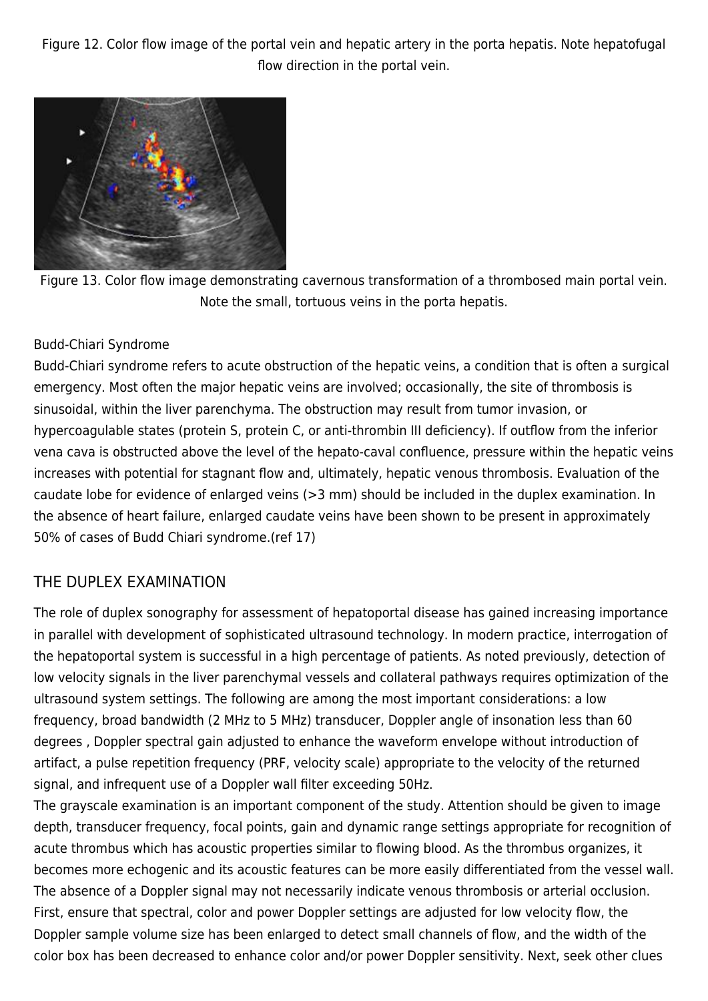Figure 12. Color flow image of the portal vein and hepatic artery in the porta hepatis. Note hepatofugal flow direction in the portal vein.



Figure 13. Color flow image demonstrating cavernous transformation of a thrombosed main portal vein. Note the small, tortuous veins in the porta hepatis.

#### Budd-Chiari Syndrome

Budd-Chiari syndrome refers to acute obstruction of the hepatic veins, a condition that is often a surgical emergency. Most often the major hepatic veins are involved; occasionally, the site of thrombosis is sinusoidal, within the liver parenchyma. The obstruction may result from tumor invasion, or hypercoagulable states (protein S, protein C, or anti-thrombin III deficiency). If outflow from the inferior vena cava is obstructed above the level of the hepato-caval confluence, pressure within the hepatic veins increases with potential for stagnant flow and, ultimately, hepatic venous thrombosis. Evaluation of the caudate lobe for evidence of enlarged veins (>3 mm) should be included in the duplex examination. In the absence of heart failure, enlarged caudate veins have been shown to be present in approximately 50% of cases of Budd Chiari syndrome.(ref 17)

## THE DUPLEX EXAMINATION

The role of duplex sonography for assessment of hepatoportal disease has gained increasing importance in parallel with development of sophisticated ultrasound technology. In modern practice, interrogation of the hepatoportal system is successful in a high percentage of patients. As noted previously, detection of low velocity signals in the liver parenchymal vessels and collateral pathways requires optimization of the ultrasound system settings. The following are among the most important considerations: a low frequency, broad bandwidth (2 MHz to 5 MHz) transducer, Doppler angle of insonation less than 60 degrees , Doppler spectral gain adjusted to enhance the waveform envelope without introduction of artifact, a pulse repetition frequency (PRF, velocity scale) appropriate to the velocity of the returned signal, and infrequent use of a Doppler wall filter exceeding 50Hz.

The grayscale examination is an important component of the study. Attention should be given to image depth, transducer frequency, focal points, gain and dynamic range settings appropriate for recognition of acute thrombus which has acoustic properties similar to flowing blood. As the thrombus organizes, it becomes more echogenic and its acoustic features can be more easily differentiated from the vessel wall. The absence of a Doppler signal may not necessarily indicate venous thrombosis or arterial occlusion. First, ensure that spectral, color and power Doppler settings are adjusted for low velocity flow, the Doppler sample volume size has been enlarged to detect small channels of flow, and the width of the color box has been decreased to enhance color and/or power Doppler sensitivity. Next, seek other clues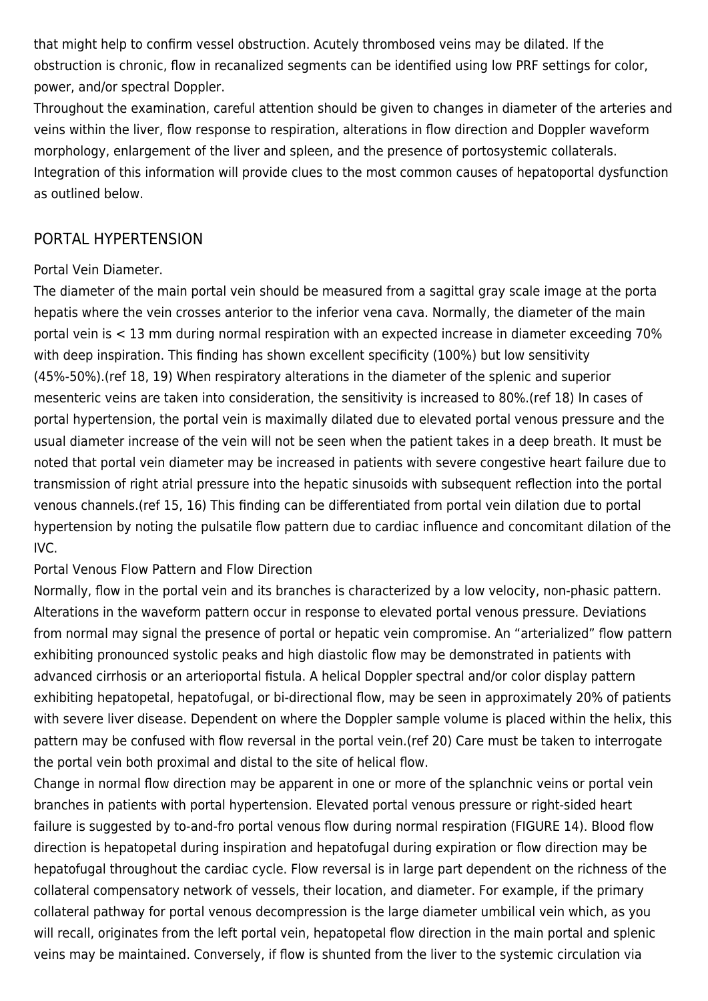that might help to confirm vessel obstruction. Acutely thrombosed veins may be dilated. If the obstruction is chronic, flow in recanalized segments can be identified using low PRF settings for color, power, and/or spectral Doppler.

Throughout the examination, careful attention should be given to changes in diameter of the arteries and veins within the liver, flow response to respiration, alterations in flow direction and Doppler waveform morphology, enlargement of the liver and spleen, and the presence of portosystemic collaterals. Integration of this information will provide clues to the most common causes of hepatoportal dysfunction as outlined below.

## PORTAL HYPERTENSION

#### Portal Vein Diameter.

The diameter of the main portal vein should be measured from a sagittal gray scale image at the porta hepatis where the vein crosses anterior to the inferior vena cava. Normally, the diameter of the main portal vein is < 13 mm during normal respiration with an expected increase in diameter exceeding 70% with deep inspiration. This finding has shown excellent specificity (100%) but low sensitivity (45%-50%).(ref 18, 19) When respiratory alterations in the diameter of the splenic and superior mesenteric veins are taken into consideration, the sensitivity is increased to 80%.(ref 18) In cases of portal hypertension, the portal vein is maximally dilated due to elevated portal venous pressure and the usual diameter increase of the vein will not be seen when the patient takes in a deep breath. It must be noted that portal vein diameter may be increased in patients with severe congestive heart failure due to transmission of right atrial pressure into the hepatic sinusoids with subsequent reflection into the portal venous channels.(ref 15, 16) This finding can be differentiated from portal vein dilation due to portal hypertension by noting the pulsatile flow pattern due to cardiac influence and concomitant dilation of the IVC.

#### Portal Venous Flow Pattern and Flow Direction

Normally, flow in the portal vein and its branches is characterized by a low velocity, non-phasic pattern. Alterations in the waveform pattern occur in response to elevated portal venous pressure. Deviations from normal may signal the presence of portal or hepatic vein compromise. An "arterialized" flow pattern exhibiting pronounced systolic peaks and high diastolic flow may be demonstrated in patients with advanced cirrhosis or an arterioportal fistula. A helical Doppler spectral and/or color display pattern exhibiting hepatopetal, hepatofugal, or bi-directional flow, may be seen in approximately 20% of patients with severe liver disease. Dependent on where the Doppler sample volume is placed within the helix, this pattern may be confused with flow reversal in the portal vein.(ref 20) Care must be taken to interrogate the portal vein both proximal and distal to the site of helical flow.

Change in normal flow direction may be apparent in one or more of the splanchnic veins or portal vein branches in patients with portal hypertension. Elevated portal venous pressure or right-sided heart failure is suggested by to-and-fro portal venous flow during normal respiration (FIGURE 14). Blood flow direction is hepatopetal during inspiration and hepatofugal during expiration or flow direction may be hepatofugal throughout the cardiac cycle. Flow reversal is in large part dependent on the richness of the collateral compensatory network of vessels, their location, and diameter. For example, if the primary collateral pathway for portal venous decompression is the large diameter umbilical vein which, as you will recall, originates from the left portal vein, hepatopetal flow direction in the main portal and splenic veins may be maintained. Conversely, if flow is shunted from the liver to the systemic circulation via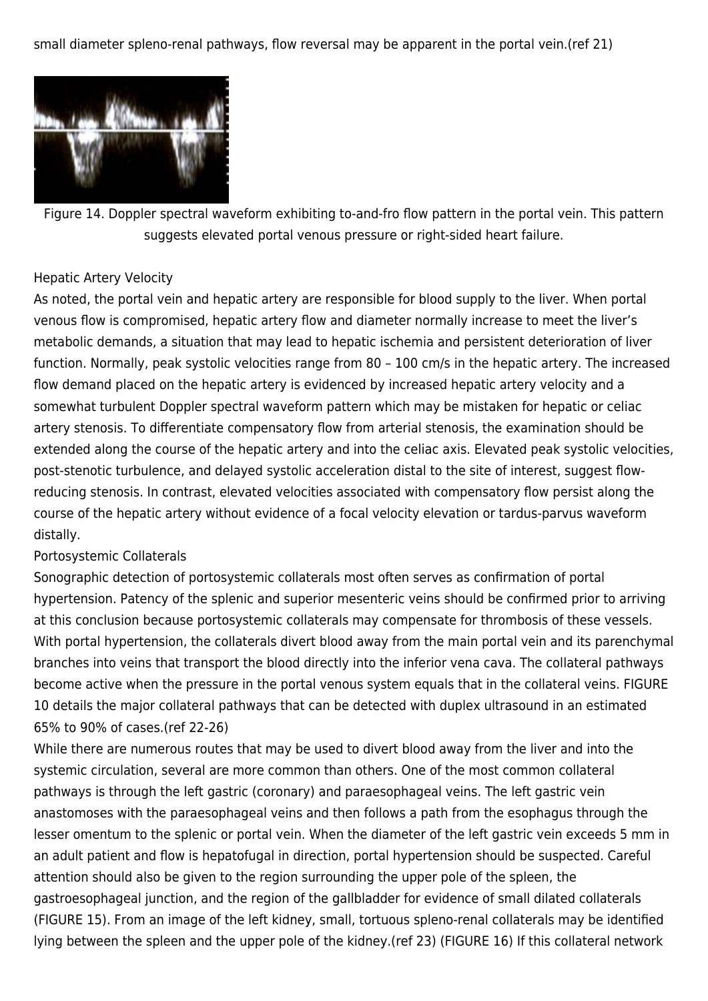small diameter spleno-renal pathways, flow reversal may be apparent in the portal vein.(ref 21)



Figure 14. Doppler spectral waveform exhibiting to-and-fro flow pattern in the portal vein. This pattern suggests elevated portal venous pressure or right-sided heart failure.

#### Hepatic Artery Velocity

As noted, the portal vein and hepatic artery are responsible for blood supply to the liver. When portal venous flow is compromised, hepatic artery flow and diameter normally increase to meet the liver's metabolic demands, a situation that may lead to hepatic ischemia and persistent deterioration of liver function. Normally, peak systolic velocities range from 80 – 100 cm/s in the hepatic artery. The increased flow demand placed on the hepatic artery is evidenced by increased hepatic artery velocity and a somewhat turbulent Doppler spectral waveform pattern which may be mistaken for hepatic or celiac artery stenosis. To differentiate compensatory flow from arterial stenosis, the examination should be extended along the course of the hepatic artery and into the celiac axis. Elevated peak systolic velocities, post-stenotic turbulence, and delayed systolic acceleration distal to the site of interest, suggest flowreducing stenosis. In contrast, elevated velocities associated with compensatory flow persist along the course of the hepatic artery without evidence of a focal velocity elevation or tardus-parvus waveform distally.

#### Portosystemic Collaterals

Sonographic detection of portosystemic collaterals most often serves as confirmation of portal hypertension. Patency of the splenic and superior mesenteric veins should be confirmed prior to arriving at this conclusion because portosystemic collaterals may compensate for thrombosis of these vessels. With portal hypertension, the collaterals divert blood away from the main portal vein and its parenchymal branches into veins that transport the blood directly into the inferior vena cava. The collateral pathways become active when the pressure in the portal venous system equals that in the collateral veins. FIGURE 10 details the major collateral pathways that can be detected with duplex ultrasound in an estimated 65% to 90% of cases.(ref 22-26)

While there are numerous routes that may be used to divert blood away from the liver and into the systemic circulation, several are more common than others. One of the most common collateral pathways is through the left gastric (coronary) and paraesophageal veins. The left gastric vein anastomoses with the paraesophageal veins and then follows a path from the esophagus through the lesser omentum to the splenic or portal vein. When the diameter of the left gastric vein exceeds 5 mm in an adult patient and flow is hepatofugal in direction, portal hypertension should be suspected. Careful attention should also be given to the region surrounding the upper pole of the spleen, the gastroesophageal junction, and the region of the gallbladder for evidence of small dilated collaterals (FIGURE 15). From an image of the left kidney, small, tortuous spleno-renal collaterals may be identified lying between the spleen and the upper pole of the kidney.(ref 23) (FIGURE 16) If this collateral network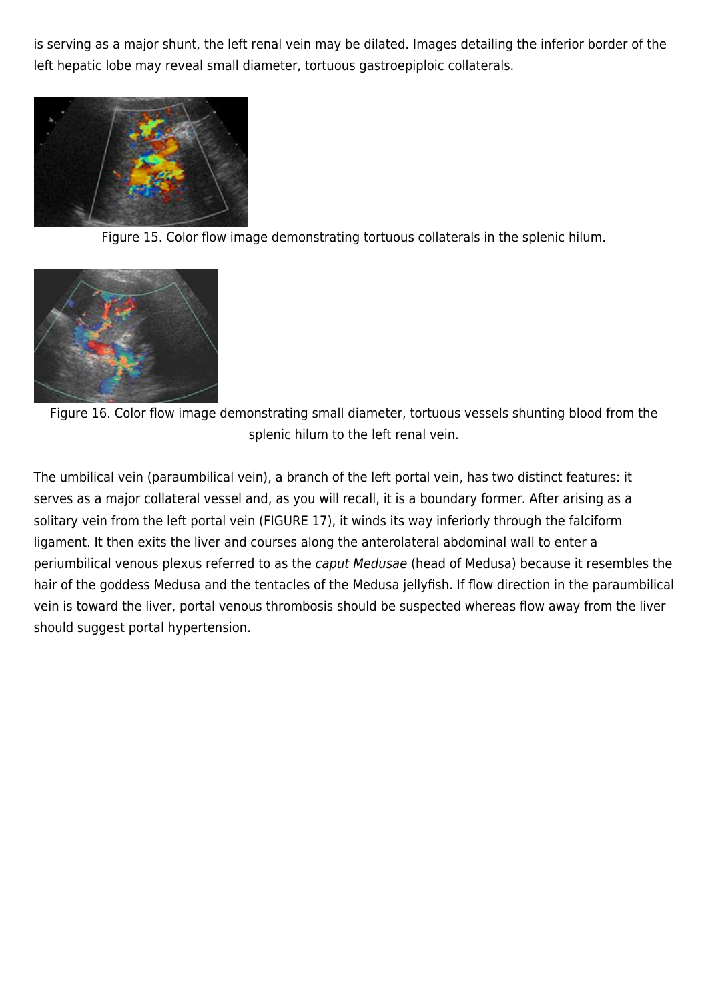is serving as a major shunt, the left renal vein may be dilated. Images detailing the inferior border of the left hepatic lobe may reveal small diameter, tortuous gastroepiploic collaterals.



Figure 15. Color flow image demonstrating tortuous collaterals in the splenic hilum.



Figure 16. Color flow image demonstrating small diameter, tortuous vessels shunting blood from the splenic hilum to the left renal vein.

The umbilical vein (paraumbilical vein), a branch of the left portal vein, has two distinct features: it serves as a major collateral vessel and, as you will recall, it is a boundary former. After arising as a solitary vein from the left portal vein (FIGURE 17), it winds its way inferiorly through the falciform ligament. It then exits the liver and courses along the anterolateral abdominal wall to enter a periumbilical venous plexus referred to as the caput Medusae (head of Medusa) because it resembles the hair of the goddess Medusa and the tentacles of the Medusa jellyfish. If flow direction in the paraumbilical vein is toward the liver, portal venous thrombosis should be suspected whereas flow away from the liver should suggest portal hypertension.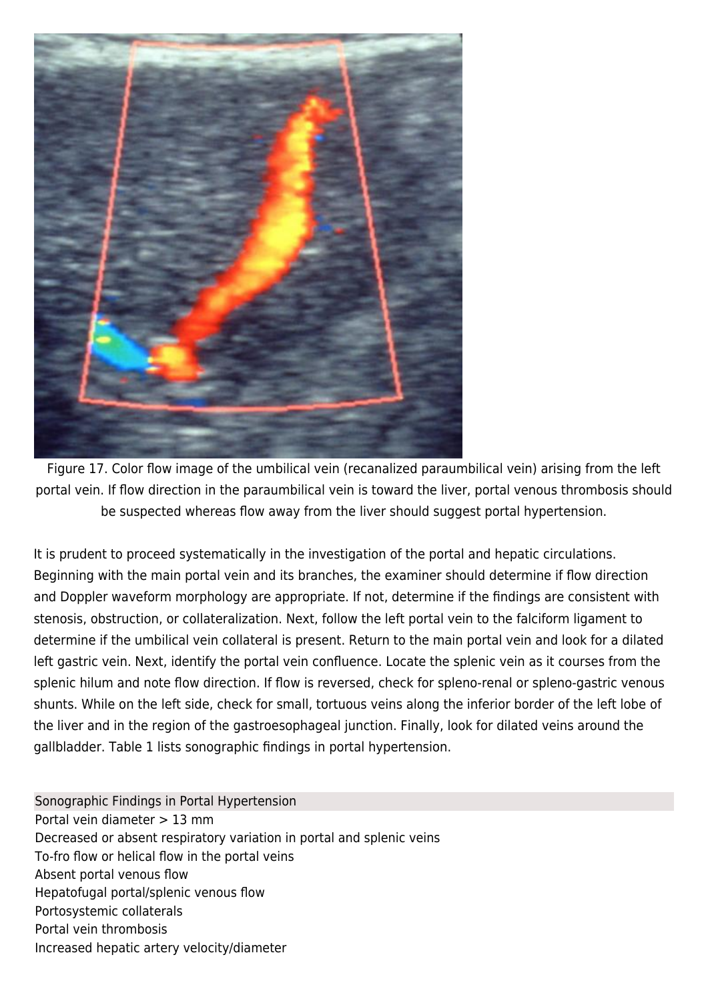

Figure 17. Color flow image of the umbilical vein (recanalized paraumbilical vein) arising from the left portal vein. If flow direction in the paraumbilical vein is toward the liver, portal venous thrombosis should be suspected whereas flow away from the liver should suggest portal hypertension.

It is prudent to proceed systematically in the investigation of the portal and hepatic circulations. Beginning with the main portal vein and its branches, the examiner should determine if flow direction and Doppler waveform morphology are appropriate. If not, determine if the findings are consistent with stenosis, obstruction, or collateralization. Next, follow the left portal vein to the falciform ligament to determine if the umbilical vein collateral is present. Return to the main portal vein and look for a dilated left gastric vein. Next, identify the portal vein confluence. Locate the splenic vein as it courses from the splenic hilum and note flow direction. If flow is reversed, check for spleno-renal or spleno-gastric venous shunts. While on the left side, check for small, tortuous veins along the inferior border of the left lobe of the liver and in the region of the gastroesophageal junction. Finally, look for dilated veins around the gallbladder. Table 1 lists sonographic findings in portal hypertension.

Sonographic Findings in Portal Hypertension Portal vein diameter > 13 mm Decreased or absent respiratory variation in portal and splenic veins To-fro flow or helical flow in the portal veins Absent portal venous flow Hepatofugal portal/splenic venous flow Portosystemic collaterals Portal vein thrombosis Increased hepatic artery velocity/diameter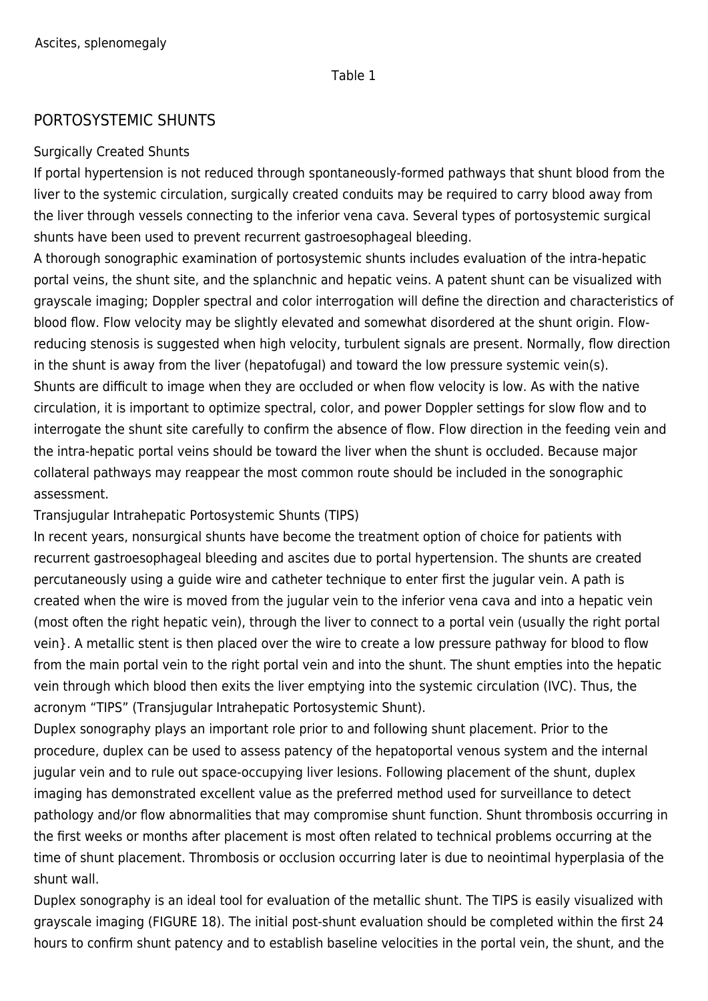#### Table 1

## PORTOSYSTEMIC SHUNTS

#### Surgically Created Shunts

If portal hypertension is not reduced through spontaneously-formed pathways that shunt blood from the liver to the systemic circulation, surgically created conduits may be required to carry blood away from the liver through vessels connecting to the inferior vena cava. Several types of portosystemic surgical shunts have been used to prevent recurrent gastroesophageal bleeding.

A thorough sonographic examination of portosystemic shunts includes evaluation of the intra-hepatic portal veins, the shunt site, and the splanchnic and hepatic veins. A patent shunt can be visualized with grayscale imaging; Doppler spectral and color interrogation will define the direction and characteristics of blood flow. Flow velocity may be slightly elevated and somewhat disordered at the shunt origin. Flowreducing stenosis is suggested when high velocity, turbulent signals are present. Normally, flow direction in the shunt is away from the liver (hepatofugal) and toward the low pressure systemic vein(s). Shunts are difficult to image when they are occluded or when flow velocity is low. As with the native circulation, it is important to optimize spectral, color, and power Doppler settings for slow flow and to interrogate the shunt site carefully to confirm the absence of flow. Flow direction in the feeding vein and the intra-hepatic portal veins should be toward the liver when the shunt is occluded. Because major collateral pathways may reappear the most common route should be included in the sonographic assessment.

Transjugular Intrahepatic Portosystemic Shunts (TIPS)

In recent years, nonsurgical shunts have become the treatment option of choice for patients with recurrent gastroesophageal bleeding and ascites due to portal hypertension. The shunts are created percutaneously using a guide wire and catheter technique to enter first the jugular vein. A path is created when the wire is moved from the jugular vein to the inferior vena cava and into a hepatic vein (most often the right hepatic vein), through the liver to connect to a portal vein (usually the right portal vein}. A metallic stent is then placed over the wire to create a low pressure pathway for blood to flow from the main portal vein to the right portal vein and into the shunt. The shunt empties into the hepatic vein through which blood then exits the liver emptying into the systemic circulation (IVC). Thus, the acronym "TIPS" (Transjugular Intrahepatic Portosystemic Shunt).

Duplex sonography plays an important role prior to and following shunt placement. Prior to the procedure, duplex can be used to assess patency of the hepatoportal venous system and the internal jugular vein and to rule out space-occupying liver lesions. Following placement of the shunt, duplex imaging has demonstrated excellent value as the preferred method used for surveillance to detect pathology and/or flow abnormalities that may compromise shunt function. Shunt thrombosis occurring in the first weeks or months after placement is most often related to technical problems occurring at the time of shunt placement. Thrombosis or occlusion occurring later is due to neointimal hyperplasia of the shunt wall.

Duplex sonography is an ideal tool for evaluation of the metallic shunt. The TIPS is easily visualized with grayscale imaging (FIGURE 18). The initial post-shunt evaluation should be completed within the first 24 hours to confirm shunt patency and to establish baseline velocities in the portal vein, the shunt, and the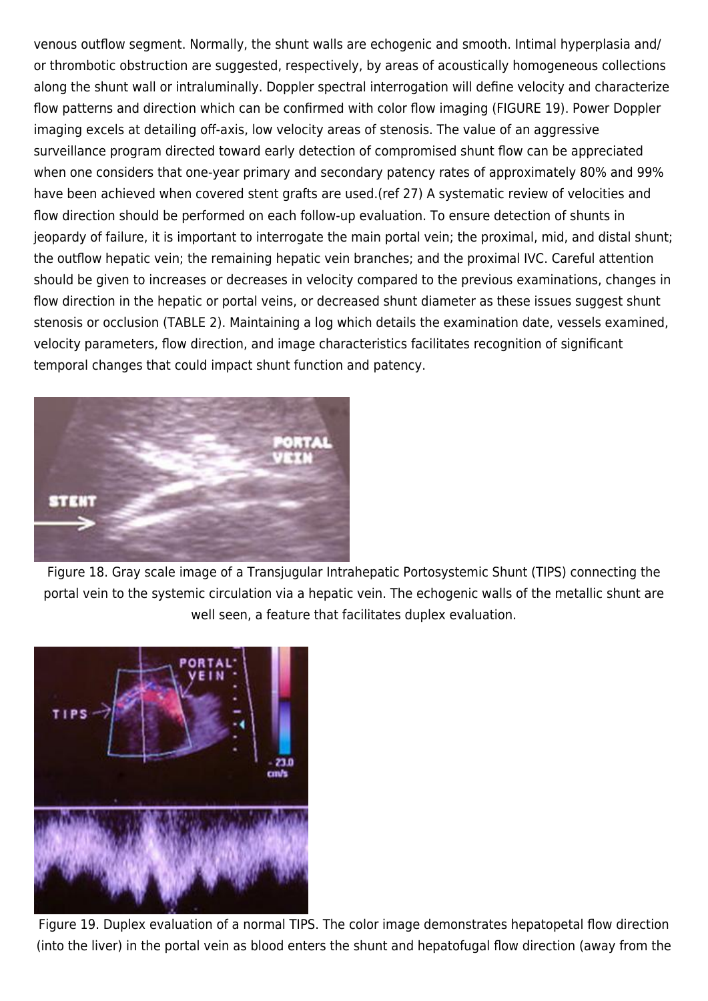venous outflow segment. Normally, the shunt walls are echogenic and smooth. Intimal hyperplasia and/ or thrombotic obstruction are suggested, respectively, by areas of acoustically homogeneous collections along the shunt wall or intraluminally. Doppler spectral interrogation will define velocity and characterize flow patterns and direction which can be confirmed with color flow imaging (FIGURE 19). Power Doppler imaging excels at detailing off-axis, low velocity areas of stenosis. The value of an aggressive surveillance program directed toward early detection of compromised shunt flow can be appreciated when one considers that one-year primary and secondary patency rates of approximately 80% and 99% have been achieved when covered stent grafts are used.(ref 27) A systematic review of velocities and flow direction should be performed on each follow-up evaluation. To ensure detection of shunts in jeopardy of failure, it is important to interrogate the main portal vein; the proximal, mid, and distal shunt; the outflow hepatic vein; the remaining hepatic vein branches; and the proximal IVC. Careful attention should be given to increases or decreases in velocity compared to the previous examinations, changes in flow direction in the hepatic or portal veins, or decreased shunt diameter as these issues suggest shunt stenosis or occlusion (TABLE 2). Maintaining a log which details the examination date, vessels examined, velocity parameters, flow direction, and image characteristics facilitates recognition of significant temporal changes that could impact shunt function and patency.



Figure 18. Gray scale image of a Transjugular Intrahepatic Portosystemic Shunt (TIPS) connecting the portal vein to the systemic circulation via a hepatic vein. The echogenic walls of the metallic shunt are well seen, a feature that facilitates duplex evaluation.



Figure 19. Duplex evaluation of a normal TIPS. The color image demonstrates hepatopetal flow direction (into the liver) in the portal vein as blood enters the shunt and hepatofugal flow direction (away from the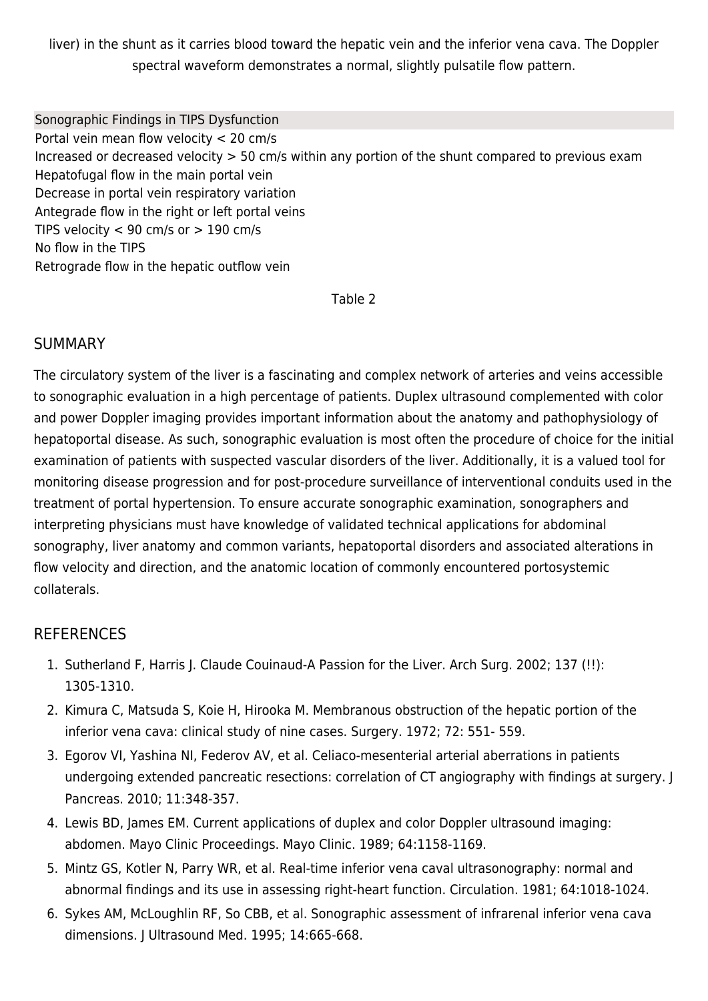liver) in the shunt as it carries blood toward the hepatic vein and the inferior vena cava. The Doppler spectral waveform demonstrates a normal, slightly pulsatile flow pattern.

Sonographic Findings in TIPS Dysfunction Portal vein mean flow velocity < 20 cm/s Increased or decreased velocity > 50 cm/s within any portion of the shunt compared to previous exam Hepatofugal flow in the main portal vein Decrease in portal vein respiratory variation Antegrade flow in the right or left portal veins TIPS velocity  $< 90$  cm/s or  $> 190$  cm/s No flow in the TIPS Retrograde flow in the hepatic outflow vein

Table 2

#### **SUMMARY**

The circulatory system of the liver is a fascinating and complex network of arteries and veins accessible to sonographic evaluation in a high percentage of patients. Duplex ultrasound complemented with color and power Doppler imaging provides important information about the anatomy and pathophysiology of hepatoportal disease. As such, sonographic evaluation is most often the procedure of choice for the initial examination of patients with suspected vascular disorders of the liver. Additionally, it is a valued tool for monitoring disease progression and for post-procedure surveillance of interventional conduits used in the treatment of portal hypertension. To ensure accurate sonographic examination, sonographers and interpreting physicians must have knowledge of validated technical applications for abdominal sonography, liver anatomy and common variants, hepatoportal disorders and associated alterations in flow velocity and direction, and the anatomic location of commonly encountered portosystemic collaterals.

## **REFERENCES**

- 1. Sutherland F, Harris J. Claude Couinaud-A Passion for the Liver. Arch Surg. 2002; 137 (!!): 1305-1310.
- 2. Kimura C, Matsuda S, Koie H, Hirooka M. Membranous obstruction of the hepatic portion of the inferior vena cava: clinical study of nine cases. Surgery. 1972; 72: 551- 559.
- 3. Egorov VI, Yashina NI, Federov AV, et al. Celiaco-mesenterial arterial aberrations in patients undergoing extended pancreatic resections: correlation of CT angiography with findings at surgery. J Pancreas. 2010; 11:348-357.
- 4. Lewis BD, James EM. Current applications of duplex and color Doppler ultrasound imaging: abdomen. Mayo Clinic Proceedings. Mayo Clinic. 1989; 64:1158-1169.
- 5. Mintz GS, Kotler N, Parry WR, et al. Real-time inferior vena caval ultrasonography: normal and abnormal findings and its use in assessing right-heart function. Circulation. 1981; 64:1018-1024.
- 6. Sykes AM, McLoughlin RF, So CBB, et al. Sonographic assessment of infrarenal inferior vena cava dimensions. J Ultrasound Med. 1995; 14:665-668.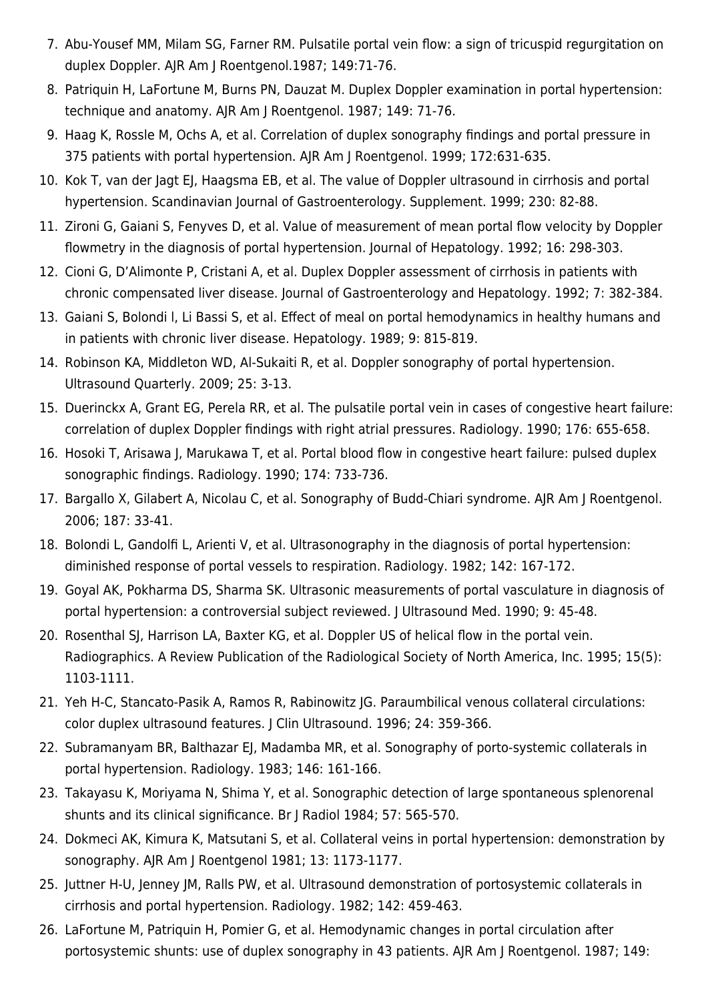- 7. Abu-Yousef MM, Milam SG, Farner RM. Pulsatile portal vein flow: a sign of tricuspid regurgitation on duplex Doppler. AJR Am J Roentgenol.1987; 149:71-76.
- 8. Patriquin H, LaFortune M, Burns PN, Dauzat M. Duplex Doppler examination in portal hypertension: technique and anatomy. AJR Am J Roentgenol. 1987; 149: 71-76.
- 9. Haag K, Rossle M, Ochs A, et al. Correlation of duplex sonography findings and portal pressure in 375 patients with portal hypertension. AJR Am J Roentgenol. 1999; 172:631-635.
- 10. Kok T, van der Jagt EJ, Haagsma EB, et al. The value of Doppler ultrasound in cirrhosis and portal hypertension. Scandinavian Journal of Gastroenterology. Supplement. 1999; 230: 82-88.
- 11. Zironi G, Gaiani S, Fenyves D, et al. Value of measurement of mean portal flow velocity by Doppler flowmetry in the diagnosis of portal hypertension. Journal of Hepatology. 1992; 16: 298-303.
- 12. Cioni G, D'Alimonte P, Cristani A, et al. Duplex Doppler assessment of cirrhosis in patients with chronic compensated liver disease. Journal of Gastroenterology and Hepatology. 1992; 7: 382-384.
- 13. Gaiani S, Bolondi l, Li Bassi S, et al. Effect of meal on portal hemodynamics in healthy humans and in patients with chronic liver disease. Hepatology. 1989; 9: 815-819.
- 14. Robinson KA, Middleton WD, Al-Sukaiti R, et al. Doppler sonography of portal hypertension. Ultrasound Quarterly. 2009; 25: 3-13.
- 15. Duerinckx A, Grant EG, Perela RR, et al. The pulsatile portal vein in cases of congestive heart failure: correlation of duplex Doppler findings with right atrial pressures. Radiology. 1990; 176: 655-658.
- 16. Hosoki T, Arisawa J, Marukawa T, et al. Portal blood flow in congestive heart failure: pulsed duplex sonographic findings. Radiology. 1990; 174: 733-736.
- 17. Bargallo X, Gilabert A, Nicolau C, et al. Sonography of Budd-Chiari syndrome. AJR Am J Roentgenol. 2006; 187: 33-41.
- 18. Bolondi L, Gandolfi L, Arienti V, et al. Ultrasonography in the diagnosis of portal hypertension: diminished response of portal vessels to respiration. Radiology. 1982; 142: 167-172.
- 19. Goyal AK, Pokharma DS, Sharma SK. Ultrasonic measurements of portal vasculature in diagnosis of portal hypertension: a controversial subject reviewed. J Ultrasound Med. 1990; 9: 45-48.
- 20. Rosenthal SJ, Harrison LA, Baxter KG, et al. Doppler US of helical flow in the portal vein. Radiographics. A Review Publication of the Radiological Society of North America, Inc. 1995; 15(5): 1103-1111.
- 21. Yeh H-C, Stancato-Pasik A, Ramos R, Rabinowitz JG. Paraumbilical venous collateral circulations: color duplex ultrasound features. J Clin Ultrasound. 1996; 24: 359-366.
- 22. Subramanyam BR, Balthazar EI, Madamba MR, et al. Sonography of porto-systemic collaterals in portal hypertension. Radiology. 1983; 146: 161-166.
- 23. Takayasu K, Moriyama N, Shima Y, et al. Sonographic detection of large spontaneous splenorenal shunts and its clinical significance. Br J Radiol 1984; 57: 565-570.
- 24. Dokmeci AK, Kimura K, Matsutani S, et al. Collateral veins in portal hypertension: demonstration by sonography. AJR Am J Roentgenol 1981; 13: 1173-1177.
- 25. Juttner H-U, Jenney JM, Ralls PW, et al. Ultrasound demonstration of portosystemic collaterals in cirrhosis and portal hypertension. Radiology. 1982; 142: 459-463.
- 26. LaFortune M, Patriquin H, Pomier G, et al. Hemodynamic changes in portal circulation after portosystemic shunts: use of duplex sonography in 43 patients. AJR Am J Roentgenol. 1987; 149: